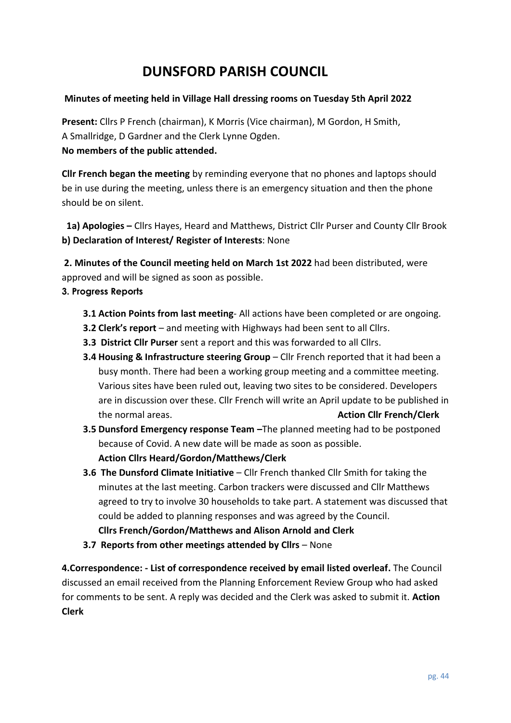# **DUNSFORD PARISH COUNCIL**

## **Minutes of meeting held in Village Hall dressing rooms on Tuesday 5th April 2022**

**Present:** Cllrs P French (chairman), K Morris (Vice chairman), M Gordon, H Smith, A Smallridge, D Gardner and the Clerk Lynne Ogden. **No members of the public attended.**

**Cllr French began the meeting** by reminding everyone that no phones and laptops should be in use during the meeting, unless there is an emergency situation and then the phone should be on silent.

 **1a) Apologies –** Cllrs Hayes, Heard and Matthews, District Cllr Purser and County Cllr Brook **b) Declaration of Interest/ Register of Interests**: None

**2. Minutes of the Council meeting held on March 1st 2022** had been distributed, were approved and will be signed as soon as possible.

## **3. Progress Reports**

- **3.1 Action Points from last meeting** All actions have been completed or are ongoing.
- **3.2 Clerk's report** and meeting with Highways had been sent to all Cllrs.
- **3.3 District Cllr Purser** sent a report and this was forwarded to all Cllrs.
- **3.4 Housing & Infrastructure steering Group** Cllr French reported that it had been a busy month. There had been a working group meeting and a committee meeting. Various sites have been ruled out, leaving two sites to be considered. Developers are in discussion over these. Cllr French will write an April update to be published in the normal areas. **Action Cllr French/Clerk**
- **3.5 Dunsford Emergency response Team –**The planned meeting had to be postponed because of Covid. A new date will be made as soon as possible. **Action Cllrs Heard/Gordon/Matthews/Clerk**
- **3.6 The Dunsford Climate Initiative** Cllr French thanked Cllr Smith for taking the minutes at the last meeting. Carbon trackers were discussed and Cllr Matthews agreed to try to involve 30 households to take part. A statement was discussed that could be added to planning responses and was agreed by the Council. **Cllrs French/Gordon/Matthews and Alison Arnold and Clerk**
- **3.7 Reports from other meetings attended by Cllrs None**

**4.Correspondence: - List of correspondence received by email listed overleaf.** The Council discussed an email received from the Planning Enforcement Review Group who had asked for comments to be sent. A reply was decided and the Clerk was asked to submit it. **Action Clerk**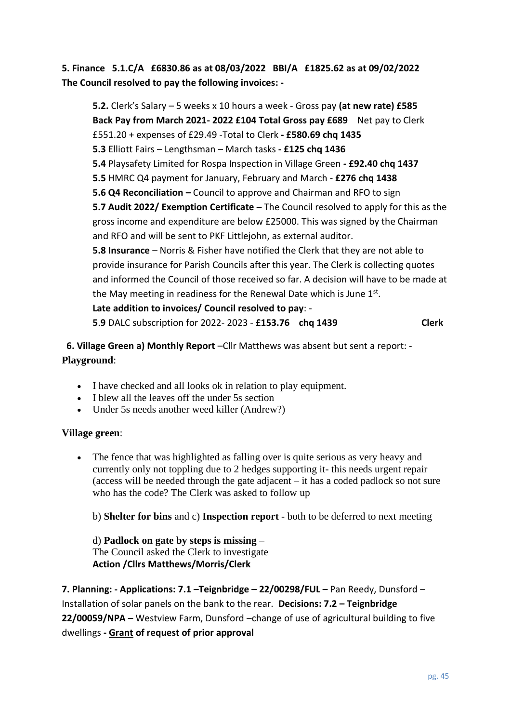**5. Finance 5.1.C/A £6830.86 as at 08/03/2022 BBI/A £1825.62 as at 09/02/2022 The Council resolved to pay the following invoices: -**

**5.2.** Clerk's Salary – 5 weeks x 10 hours a week - Gross pay **(at new rate) £585 Back Pay from March 2021- 2022 £104 Total Gross pay £689** Net pay to Clerk £551.20 + expenses of £29.49 -Total to Clerk **- £580.69 chq 1435 5.3** Elliott Fairs – Lengthsman – March tasks **- £125 chq 1436 5.4** Playsafety Limited for Rospa Inspection in Village Green **- £92.40 chq 1437 5.5** HMRC Q4 payment for January, February and March - **£276 chq 1438 5.6 Q4 Reconciliation –** Council to approve and Chairman and RFO to sign **5.7 Audit 2022/ Exemption Certificate –** The Council resolved to apply for this as the gross income and expenditure are below £25000. This was signed by the Chairman and RFO and will be sent to PKF Littlejohn, as external auditor. **5.8 Insurance** – Norris & Fisher have notified the Clerk that they are not able to provide insurance for Parish Councils after this year. The Clerk is collecting quotes and informed the Council of those received so far. A decision will have to be made at the May meeting in readiness for the Renewal Date which is June  $1<sup>st</sup>$ . **Late addition to invoices/ Council resolved to pay**: - **5**.**9** DALC subscription for 2022- 2023 - **£153.76 chq 1439 Clerk**

**6. Village Green a) Monthly Report** –Cllr Matthews was absent but sent a report: - **Playground**:

- I have checked and all looks ok in relation to play equipment.
- I blew all the leaves off the under 5s section
- Under 5s needs another weed killer (Andrew?)

#### **Village green**:

• The fence that was highlighted as falling over is quite serious as very heavy and currently only not toppling due to 2 hedges supporting it- this needs urgent repair (access will be needed through the gate adjacent – it has a coded padlock so not sure who has the code? The Clerk was asked to follow up

b) **Shelter for bins** and c) **Inspection report** - both to be deferred to next meeting

d) **Padlock on gate by steps is missing** – The Council asked the Clerk to investigate **Action /Cllrs Matthews/Morris/Clerk**

**7. Planning: - Applications: 7.1 –Teignbridge – 22/00298/FUL –** Pan Reedy, Dunsford – Installation of solar panels on the bank to the rear. **Decisions: 7.2 – Teignbridge 22/00059/NPA –** Westview Farm, Dunsford –change of use of agricultural building to five dwellings **- Grant of request of prior approval**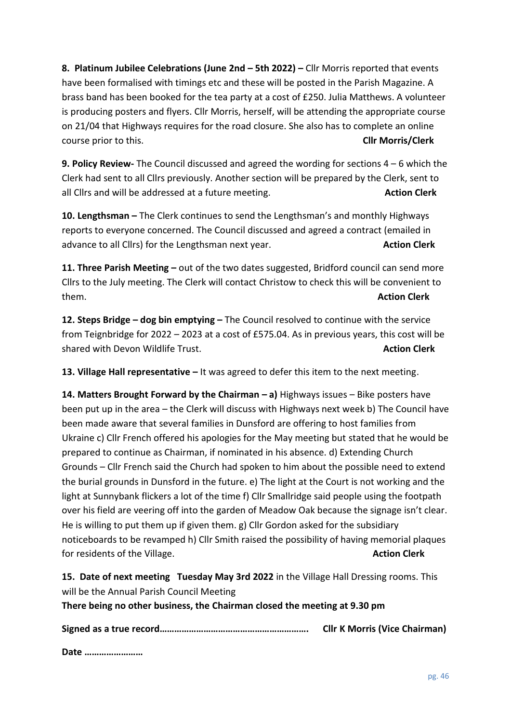**8. Platinum Jubilee Celebrations (June 2nd – 5th 2022) –** Cllr Morris reported that events have been formalised with timings etc and these will be posted in the Parish Magazine. A brass band has been booked for the tea party at a cost of £250. Julia Matthews. A volunteer is producing posters and flyers. Cllr Morris, herself, will be attending the appropriate course on 21/04 that Highways requires for the road closure. She also has to complete an online course prior to this. **Cllr Morris/Clerk**

**9. Policy Review-** The Council discussed and agreed the wording for sections 4 – 6 which the Clerk had sent to all Cllrs previously. Another section will be prepared by the Clerk, sent to all Cllrs and will be addressed at a future meeting. **Action Clerk** and Muslem Clerk

**10. Lengthsman –** The Clerk continues to send the Lengthsman's and monthly Highways reports to everyone concerned. The Council discussed and agreed a contract (emailed in advance to all Cllrs) for the Lengthsman next year. **Action Clerk**

**11. Three Parish Meeting –** out of the two dates suggested, Bridford council can send more Cllrs to the July meeting. The Clerk will contact Christow to check this will be convenient to them. **Action Clerk**

**12. Steps Bridge – dog bin emptying –** The Council resolved to continue with the service from Teignbridge for 2022 – 2023 at a cost of £575.04. As in previous years, this cost will be shared with Devon Wildlife Trust. **Action Clerk** and the Muslim Clerk and the Muslim Clerk

**13. Village Hall representative –** It was agreed to defer this item to the next meeting.

**14. Matters Brought Forward by the Chairman – a)** Highways issues – Bike posters have been put up in the area – the Clerk will discuss with Highways next week b) The Council have been made aware that several families in Dunsford are offering to host families from Ukraine c) Cllr French offered his apologies for the May meeting but stated that he would be prepared to continue as Chairman, if nominated in his absence. d) Extending Church Grounds – Cllr French said the Church had spoken to him about the possible need to extend the burial grounds in Dunsford in the future. e) The light at the Court is not working and the light at Sunnybank flickers a lot of the time f) Cllr Smallridge said people using the footpath over his field are veering off into the garden of Meadow Oak because the signage isn't clear. He is willing to put them up if given them. g) Cllr Gordon asked for the subsidiary noticeboards to be revamped h) Cllr Smith raised the possibility of having memorial plaques for residents of the Village. **Action Clerk Action Clerk Action Clerk** 

**15. Date of next meeting Tuesday May 3rd 2022** in the Village Hall Dressing rooms. This will be the Annual Parish Council Meeting

**There being no other business, the Chairman closed the meeting at 9.30 pm**

**Signed as a true record……………………………………………………. Cllr K Morris (Vice Chairman)**

**Date ……………………**